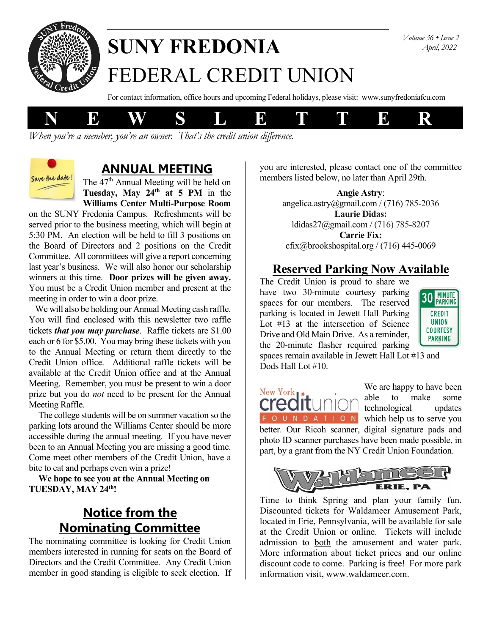

# **SUNY FREDONIA** FEDERAL CREDIT UNION

For contact information, office hours and upcoming Federal holidays, please visit: www.sunyfredoniafcu.com



*When you're a member, you're an owner. That's the credit union difference.*



#### **ANNUAL MEETING**

The  $47<sup>th</sup>$  Annual Meeting will be held on **Tuesday, May 24th at 5 PM** in the **Williams Center Multi-Purpose Room**

on the SUNY Fredonia Campus. Refreshments will be served prior to the business meeting, which will begin at 5:30 PM. An election will be held to fill 3 positions on the Board of Directors and 2 positions on the Credit Committee. All committees will give a report concerning last year's business. We will also honor our scholarship winners at this time. **Door prizes will be given away.** You must be a Credit Union member and present at the meeting in order to win a door prize.

 We will also be holding our Annual Meeting cash raffle. You will find enclosed with this newsletter two raffle tickets *that you may purchase*. Raffle tickets are \$1.00 each or 6 for \$5.00. You may bring these tickets with you to the Annual Meeting or return them directly to the Credit Union office. Additional raffle tickets will be available at the Credit Union office and at the Annual Meeting. Remember, you must be present to win a door prize but you do *not* need to be present for the Annual Meeting Raffle.

The college students will be on summer vacation so the parking lots around the Williams Center should be more accessible during the annual meeting. If you have never been to an Annual Meeting you are missing a good time. Come meet other members of the Credit Union, have a bite to eat and perhaps even win a prize!

**We hope to see you at the Annual Meeting on TUESDAY, MAY 24th!**

#### **Notice from the Nominating Committee**

The nominating committee is looking for Credit Union members interested in running for seats on the Board of Directors and the Credit Committee. Any Credit Union member in good standing is eligible to seek election. If

you are interested, please contact one of the committee members listed below, no later than April 29th.

> **Angie Astry**: angelica.astry@gmail.com / (716) 785-2036 **Laurie Didas:** [ldidas27@gmail.com](mailto:ldidas27@gmail.com) / (716) 785-8207 **Carrie Fix:** cfix@brookshospital.org / (716) 445-0069

#### **Reserved Parking Now Available**

The Credit Union is proud to share we have two 30-minute courtesy parking spaces for our members. The reserved parking is located in Jewett Hall Parking Lot #13 at the intersection of Science Drive and Old Main Drive. As a reminder, the 20-minute flasher required parking



spaces remain available in Jewett Hall Lot #13 and Dods Hall Lot #10.



We are happy to have been able to make some technological updates F O U N D A T I O N which help us to serve you better. Our Ricoh scanner, digital signature pads and photo ID scanner purchases have been made possible, in part, by a grant from the NY Credit Union Foundation.



Time to think Spring and plan your family fun. Discounted tickets for Waldameer Amusement Park, located in Erie, Pennsylvania, will be available for sale at the Credit Union or online. Tickets will include admission to both the amusement and water park. More information about ticket prices and our online discount code to come. Parking is free! For more park information visit, www.waldameer.com.